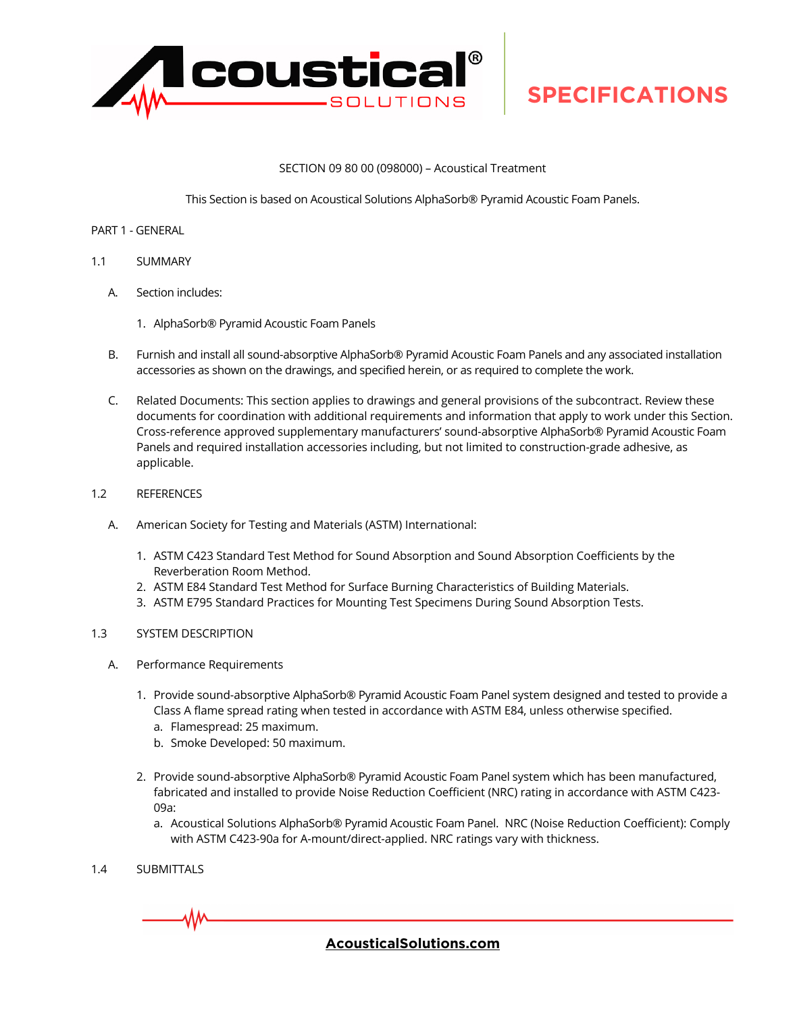

#### SECTION 09 80 00 (098000) – Acoustical Treatment

This Section is based on Acoustical Solutions AlphaSorb® Pyramid Acoustic Foam Panels.

- PART 1 GENERAL
- 1.1 SUMMARY
	- A. Section includes:
		- 1. AlphaSorb® Pyramid Acoustic Foam Panels
	- B. Furnish and install all sound-absorptive AlphaSorb® Pyramid Acoustic Foam Panels and any associated installation accessories as shown on the drawings, and specified herein, or as required to complete the work.
	- C. Related Documents: This section applies to drawings and general provisions of the subcontract. Review these documents for coordination with additional requirements and information that apply to work under this Section. Cross-reference approved supplementary manufacturers' sound-absorptive AlphaSorb® Pyramid Acoustic Foam Panels and required installation accessories including, but not limited to construction-grade adhesive, as applicable.
- 1.2 REFERENCES
	- A. American Society for Testing and Materials (ASTM) International:
		- 1. ASTM C423 Standard Test Method for Sound Absorption and Sound Absorption Coefficients by the Reverberation Room Method.
		- 2. ASTM E84 Standard Test Method for Surface Burning Characteristics of Building Materials.
		- 3. ASTM E795 Standard Practices for Mounting Test Specimens During Sound Absorption Tests.
- 1.3 SYSTEM DESCRIPTION
	- A. Performance Requirements
		- 1. Provide sound-absorptive AlphaSorb® Pyramid Acoustic Foam Panel system designed and tested to provide a Class A flame spread rating when tested in accordance with ASTM E84, unless otherwise specified.
			- a. Flamespread: 25 maximum.
			- b. Smoke Developed: 50 maximum.
		- 2. Provide sound-absorptive AlphaSorb® Pyramid Acoustic Foam Panel system which has been manufactured, fabricated and installed to provide Noise Reduction Coefficient (NRC) rating in accordance with ASTM C423- 09a:
			- a. Acoustical Solutions AlphaSorb® Pyramid Acoustic Foam Panel. NRC (Noise Reduction Coefficient): Comply with ASTM C423-90a for A-mount/direct-applied. NRC ratings vary with thickness.
- 1.4 SUBMITTALS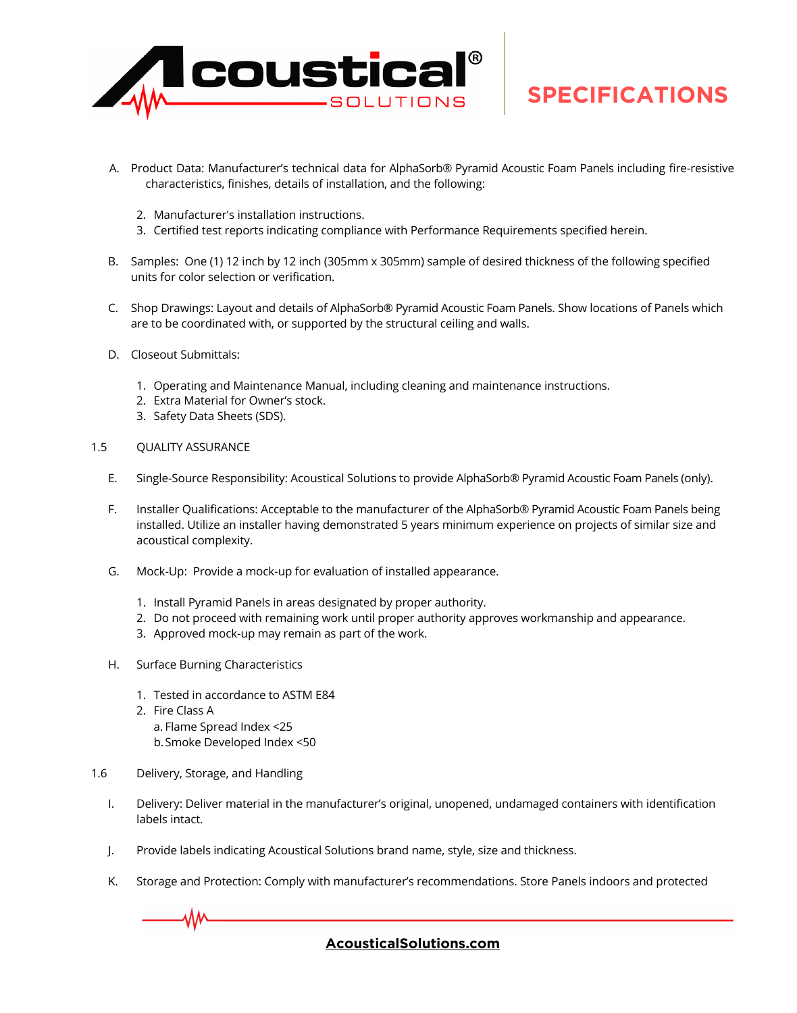

- A. Product Data: Manufacturer's technical data for AlphaSorb® Pyramid Acoustic Foam Panels including fire-resistive characteristics, finishes, details of installation, and the following:
	- 2. Manufacturer's installation instructions.
	- 3. Certified test reports indicating compliance with Performance Requirements specified herein.
- B. Samples: One (1) 12 inch by 12 inch (305mm x 305mm) sample of desired thickness of the following specified units for color selection or verification.
- C. Shop Drawings: Layout and details of AlphaSorb® Pyramid Acoustic Foam Panels. Show locations of Panels which are to be coordinated with, or supported by the structural ceiling and walls.
- D. Closeout Submittals:
	- 1. Operating and Maintenance Manual, including cleaning and maintenance instructions.
	- 2. Extra Material for Owner's stock.
	- 3. Safety Data Sheets (SDS).
- 1.5 QUALITY ASSURANCE
	- E. Single-Source Responsibility: Acoustical Solutions to provide AlphaSorb® Pyramid Acoustic Foam Panels (only).
	- F. Installer Qualifications: Acceptable to the manufacturer of the AlphaSorb® Pyramid Acoustic Foam Panels being installed. Utilize an installer having demonstrated 5 years minimum experience on projects of similar size and acoustical complexity.
	- G. Mock-Up: Provide a mock-up for evaluation of installed appearance.
		- 1. Install Pyramid Panels in areas designated by proper authority.
		- 2. Do not proceed with remaining work until proper authority approves workmanship and appearance.
		- 3. Approved mock-up may remain as part of the work.
	- H. Surface Burning Characteristics
		- 1. Tested in accordance to ASTM E84
		- 2. Fire Class A
			- a. Flame Spread Index <25
			- b.Smoke Developed Index <50
- 1.6 Delivery, Storage, and Handling
	- I. Delivery: Deliver material in the manufacturer's original, unopened, undamaged containers with identification labels intact.
	- J. Provide labels indicating Acoustical Solutions brand name, style, size and thickness.
	- K. Storage and Protection: Comply with manufacturer's recommendations. Store Panels indoors and protected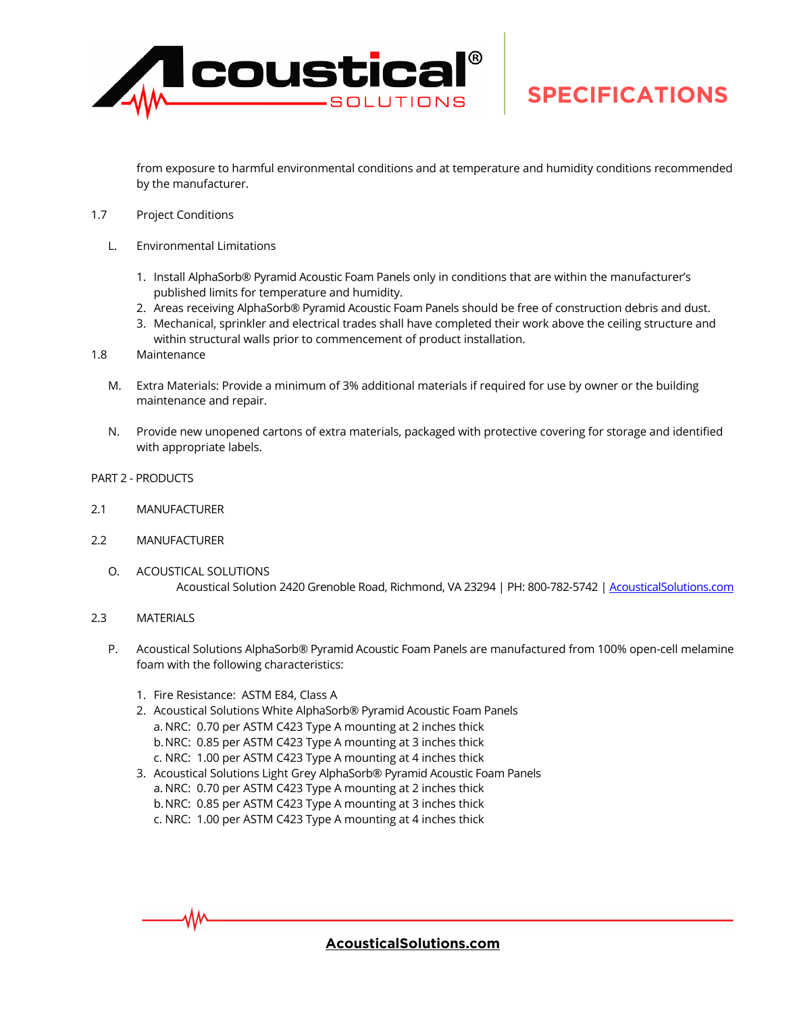

from exposure to harmful environmental conditions and at temperature and humidity conditions recommended by the manufacturer.

- 1.7 Project Conditions
	- L. Environmental Limitations
		- 1. Install AlphaSorb® Pyramid Acoustic Foam Panels only in conditions that are within the manufacturer's published limits for temperature and humidity.
		- 2. Areas receiving AlphaSorb® Pyramid Acoustic Foam Panels should be free of construction debris and dust.
		- 3. Mechanical, sprinkler and electrical trades shall have completed their work above the ceiling structure and within structural walls prior to commencement of product installation.
- 1.8 Maintenance
	- M. Extra Materials: Provide a minimum of 3% additional materials if required for use by owner or the building maintenance and repair.
	- N. Provide new unopened cartons of extra materials, packaged with protective covering for storage and identified with appropriate labels.
- PART 2 PRODUCTS
- 2.1 MANUFACTURER
- 2.2 MANUFACTURER
	- O. ACOUSTICAL SOLUTIONS Acoustical Solution 2420 Grenoble Road, Richmond, VA 23294 | PH: 800-782-5742 | [AcousticalSolutions.com](https://acousticalsolution-my.sharepoint.com/personal/rlarkin_acousticalsolutions_com/Documents/Product/1-Techlite-Foam/Linear Foam/Z-Collateral/AcousticalSolutions.com)
- 2.3 MATERIALS
	- P. Acoustical Solutions AlphaSorb® Pyramid Acoustic Foam Panels are manufactured from 100% open-cell melamine foam with the following characteristics:
		- 1. Fire Resistance: ASTM E84, Class A
		- 2. Acoustical Solutions White AlphaSorb® Pyramid Acoustic Foam Panels a. NRC: 0.70 per ASTM C423 Type A mounting at 2 inches thick b.NRC: 0.85 per ASTM C423 Type A mounting at 3 inches thick c. NRC: 1.00 per ASTM C423 Type A mounting at 4 inches thick
		- 3. Acoustical Solutions Light Grey AlphaSorb® Pyramid Acoustic Foam Panels a. NRC: 0.70 per ASTM C423 Type A mounting at 2 inches thick b.NRC: 0.85 per ASTM C423 Type A mounting at 3 inches thick c. NRC: 1.00 per ASTM C423 Type A mounting at 4 inches thick

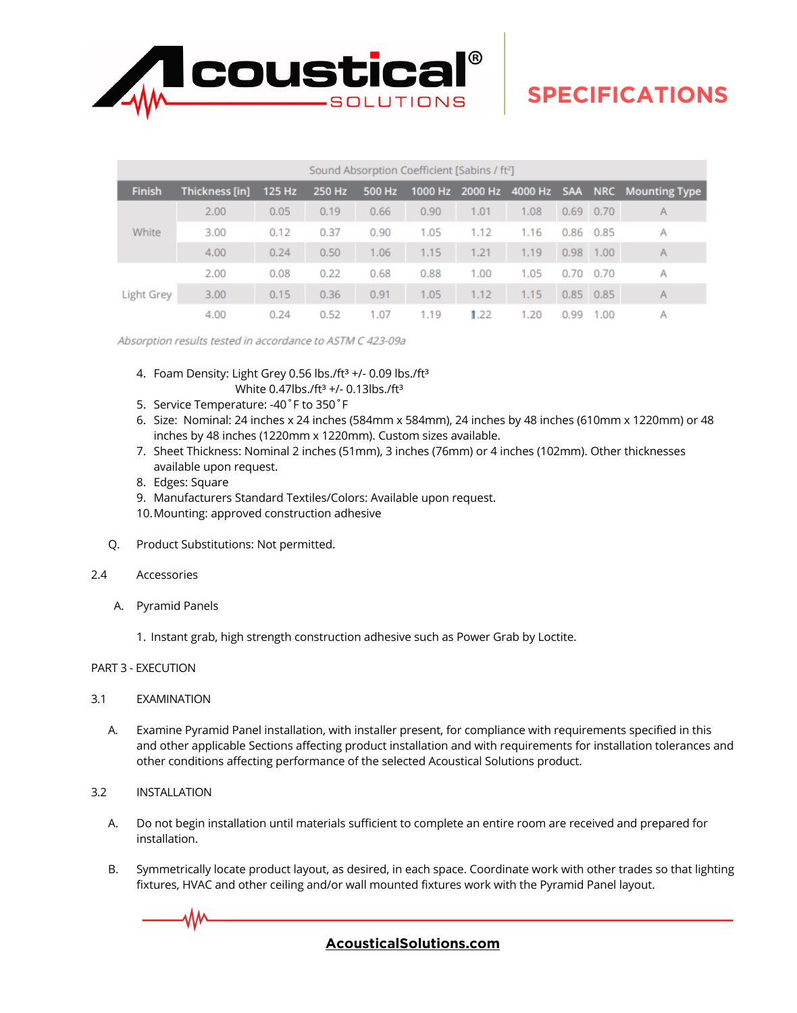

| Sound Absorption Coefficient [Sabins / ft <sup>2</sup> ] |                |        |        |        |      |      |      |      |                   |                                               |
|----------------------------------------------------------|----------------|--------|--------|--------|------|------|------|------|-------------------|-----------------------------------------------|
| <b>Finish</b>                                            | Thickness [in] | 125 Hz | 250 Hz | 500 Hz |      |      |      |      |                   | 1000 Hz 2000 Hz 4000 Hz SAA NRC Mounting Type |
| White                                                    | 2.00           | 0.05   | 0.19   | 0.66   | 0.90 | 1.01 | 1.08 |      | $0.69$ 0.70       | A                                             |
|                                                          | 3.00           | 0.12   | 0.37   | 0.90   | 1.05 | 1.12 | 1.16 |      | $0.86$ 0.85       | A                                             |
|                                                          | 4.00           | 0.24   | 0.50   | 1.06   | 1.15 | 1.21 | 1.19 |      | $0.98$ 1.00       | A                                             |
| Light Grey                                               | 2.00           | 0.08   | 0.22   | 0.68   | 0.88 | 1.00 | 1.05 |      | $0.70 \quad 0.70$ | A                                             |
|                                                          | 3.00           | 0.15   | 0.36   | 0.91   | 1.05 | 1.12 | 1.15 |      | $0.85$ 0.85       | $\mathsf{A}$                                  |
|                                                          | 4.00           | 0.24   | 0.52   | 1.07   | 1.19 | 1.22 | 1.20 | 0.99 | 1.00              | Α                                             |

Absorption results tested in accordance to ASTM C 423-09a

- 4. Foam Density: Light Grey 0.56 lbs./ft<sup>3</sup> +/- 0.09 lbs./ft<sup>3</sup> White 0.47lbs./ft<sup>3</sup> +/- 0.13lbs./ft<sup>3</sup>
- 5. Service Temperature: -40˚F to 350˚F
- 6. Size: Nominal: 24 inches x 24 inches (584mm x 584mm), 24 inches by 48 inches (610mm x 1220mm) or 48 inches by 48 inches (1220mm x 1220mm). Custom sizes available.
- 7. Sheet Thickness: Nominal 2 inches (51mm), 3 inches (76mm) or 4 inches (102mm). Other thicknesses available upon request.
- 8. Edges: Square
- 9. Manufacturers Standard Textiles/Colors: Available upon request.
- 10.Mounting: approved construction adhesive
- Q. Product Substitutions: Not permitted.
- 2.4 Accessories
	- A. Pyramid Panels

1. Instant grab, high strength construction adhesive such as Power Grab by Loctite.

#### PART 3 - EXECUTION

- 3.1 EXAMINATION
	- A. Examine Pyramid Panel installation, with installer present, for compliance with requirements specified in this and other applicable Sections affecting product installation and with requirements for installation tolerances and other conditions affecting performance of the selected Acoustical Solutions product.
- 3.2 INSTALLATION
	- A. Do not begin installation until materials sufficient to complete an entire room are received and prepared for installation.
	- B. Symmetrically locate product layout, as desired, in each space. Coordinate work with other trades so that lighting fixtures, HVAC and other ceiling and/or wall mounted fixtures work with the Pyramid Panel layout.